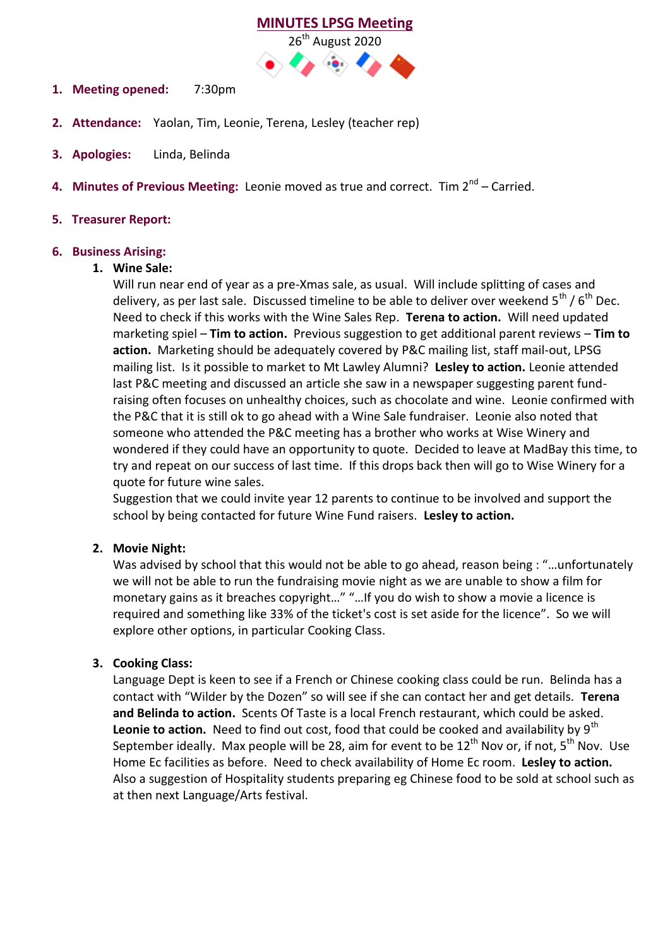#### **MINUTES LPSG Meeting**



- **1. Meeting opened:** 7:30pm
- **2. Attendance:** Yaolan, Tim, Leonie, Terena, Lesley (teacher rep)
- **3. Apologies:** Linda, Belinda
- **4. Minutes of Previous Meeting:** Leonie moved as true and correct. Tim 2<sup>nd</sup> Carried.

# **5. Treasurer Report:**

### **6. Business Arising:**

### **1. Wine Sale:**

Will run near end of year as a pre-Xmas sale, as usual. Will include splitting of cases and delivery, as per last sale. Discussed timeline to be able to deliver over weekend  $5^{th}$  /  $6^{th}$  Dec. Need to check if this works with the Wine Sales Rep. **Terena to action.** Will need updated marketing spiel – **Tim to action.** Previous suggestion to get additional parent reviews – **Tim to action.** Marketing should be adequately covered by P&C mailing list, staff mail-out, LPSG mailing list. Is it possible to market to Mt Lawley Alumni? **Lesley to action.** Leonie attended last P&C meeting and discussed an article she saw in a newspaper suggesting parent fundraising often focuses on unhealthy choices, such as chocolate and wine. Leonie confirmed with the P&C that it is still ok to go ahead with a Wine Sale fundraiser. Leonie also noted that someone who attended the P&C meeting has a brother who works at Wise Winery and wondered if they could have an opportunity to quote. Decided to leave at MadBay this time, to try and repeat on our success of last time. If this drops back then will go to Wise Winery for a quote for future wine sales.

Suggestion that we could invite year 12 parents to continue to be involved and support the school by being contacted for future Wine Fund raisers. **Lesley to action.**

# **2. Movie Night:**

Was advised by school that this would not be able to go ahead, reason being : "…unfortunately we will not be able to run the fundraising movie night as we are unable to show a film for monetary gains as it breaches copyright…" "…If you do wish to show a movie a licence is required and something like 33% of the ticket's cost is set aside for the licence". So we will explore other options, in particular Cooking Class.

# **3. Cooking Class:**

Language Dept is keen to see if a French or Chinese cooking class could be run. Belinda has a contact with "Wilder by the Dozen" so will see if she can contact her and get details. **Terena and Belinda to action.** Scents Of Taste is a local French restaurant, which could be asked. Leonie to action. Need to find out cost, food that could be cooked and availability by 9<sup>th</sup> September ideally. Max people will be 28, aim for event to be  $12<sup>th</sup>$  Nov or, if not,  $5<sup>th</sup>$  Nov. Use Home Ec facilities as before. Need to check availability of Home Ec room. **Lesley to action.**  Also a suggestion of Hospitality students preparing eg Chinese food to be sold at school such as at then next Language/Arts festival.